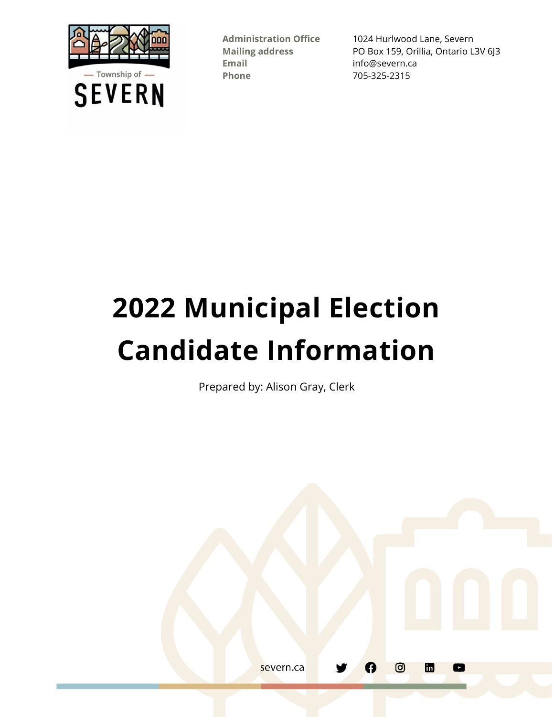

**Email** info@severn.ca **Phone** 705-325-2315

**Administration Office** 1024 Hurlwood Lane, Severn **Mailing address** PO Box 159, Orillia, Ontario L3V 6J3

# **2022 Municipal Election Candidate Information**

Prepared by: Alison Gray, Clerk

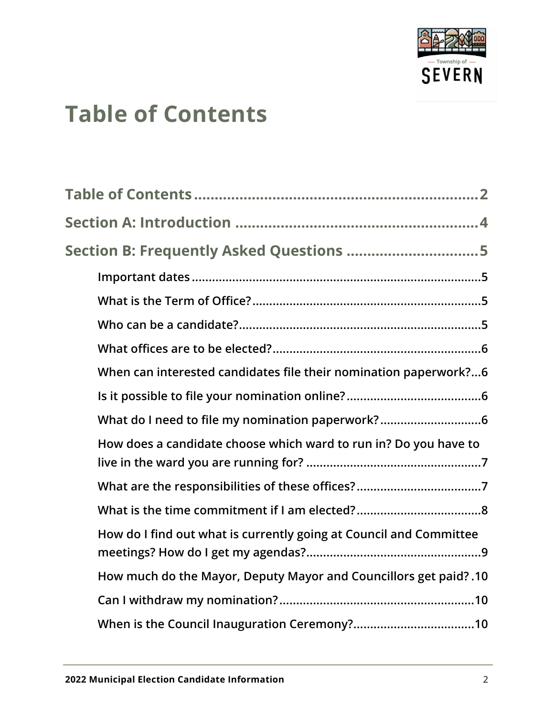

# <span id="page-1-0"></span>**Table of Contents**

| Section B: Frequently Asked Questions 5                            |
|--------------------------------------------------------------------|
|                                                                    |
|                                                                    |
|                                                                    |
|                                                                    |
| When can interested candidates file their nomination paperwork?6   |
|                                                                    |
| What do I need to file my nomination paperwork?6                   |
| How does a candidate choose which ward to run in? Do you have to   |
|                                                                    |
|                                                                    |
| How do I find out what is currently going at Council and Committee |
| How much do the Mayor, Deputy Mayor and Councillors get paid? .10  |
|                                                                    |
|                                                                    |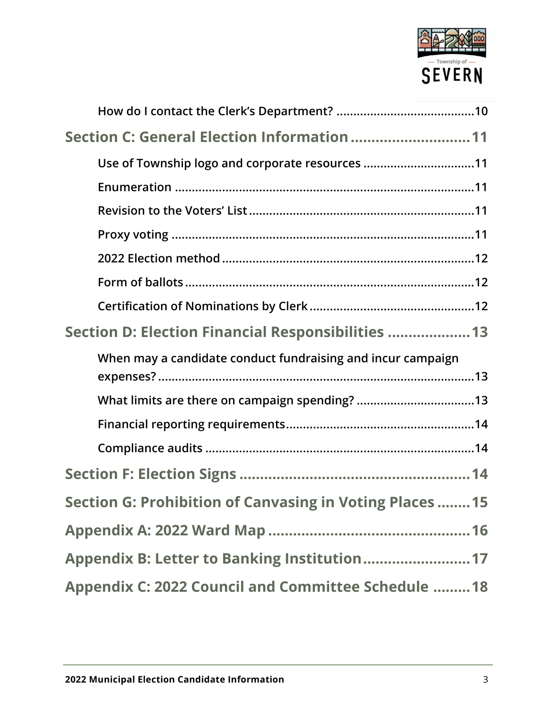

| Section C: General Election Information  11                 |
|-------------------------------------------------------------|
| Use of Township logo and corporate resources 11             |
|                                                             |
|                                                             |
|                                                             |
|                                                             |
|                                                             |
|                                                             |
| Section D: Election Financial Responsibilities  13          |
| When may a candidate conduct fundraising and incur campaign |
|                                                             |
|                                                             |
|                                                             |
|                                                             |
| Section G: Prohibition of Canvasing in Voting Places  15    |
|                                                             |
|                                                             |
| Appendix C: 2022 Council and Committee Schedule  18         |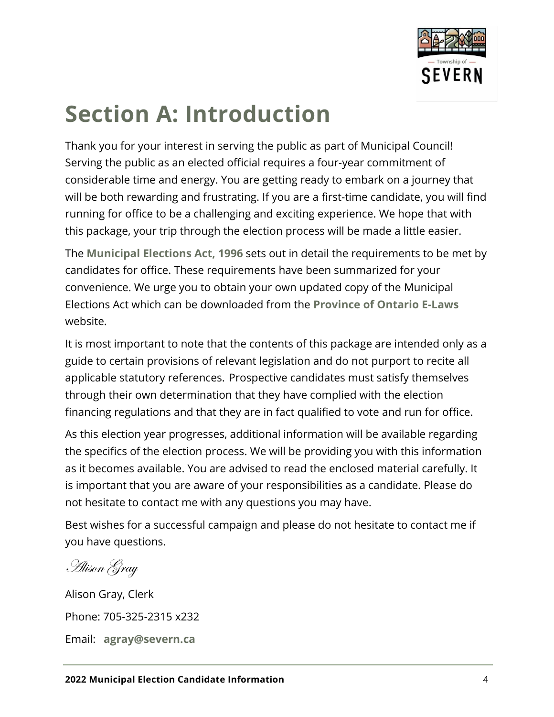

# <span id="page-3-0"></span>**Section A: Introduction**

Thank you for your interest in serving the public as part of Municipal Council! Serving the public as an elected official requires a four-year commitment of considerable time and energy. You are getting ready to embark on a journey that will be both rewarding and frustrating. If you are a first-time candidate, you will find running for office to be a challenging and exciting experience. We hope that with this package, your trip through the election process will be made a little easier.

The **[Municipal Elections Act, 1996](https://www.ontario.ca/laws/statute/96m32)** sets out in detail the requirements to be met by candidates for office. These requirements have been summarized for your convenience. We urge you to obtain your own updated copy of the Municipal Elections Act which can be downloaded from the **[Province of Ontario E-Laws](https://www.ontario.ca/Laws)** website.

It is most important to note that the contents of this package are intended only as a guide to certain provisions of relevant legislation and do not purport to recite all applicable statutory references. Prospective candidates must satisfy themselves through their own determination that they have complied with the election financing regulations and that they are in fact qualified to vote and run for office.

As this election year progresses, additional information will be available regarding the specifics of the election process. We will be providing you with this information as it becomes available. You are advised to read the enclosed material carefully. It is important that you are aware of your responsibilities as a candidate. Please do not hesitate to contact me with any questions you may have.

Best wishes for a successful campaign and please do not hesitate to contact me if you have questions.

Alison Gray

Alison Gray, Clerk Phone: 705-325-2315 x232 Email: **[agray@severn.ca](mailto:agray@severn.ca)**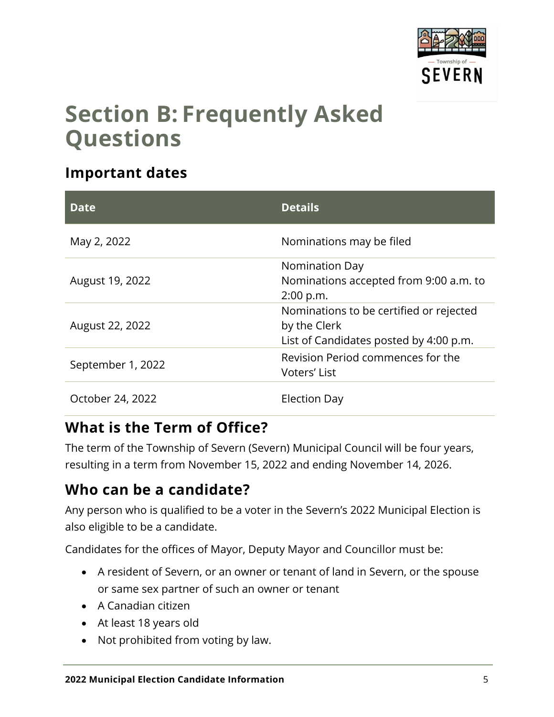

### <span id="page-4-0"></span>**Section B: Frequently Asked Questions**

#### <span id="page-4-1"></span>**Important dates**

| <b>Date</b>       | <b>Details</b>                                                                                    |
|-------------------|---------------------------------------------------------------------------------------------------|
| May 2, 2022       | Nominations may be filed                                                                          |
|                   | <b>Nomination Day</b>                                                                             |
| August 19, 2022   | Nominations accepted from 9:00 a.m. to                                                            |
|                   | 2:00 p.m.                                                                                         |
| August 22, 2022   | Nominations to be certified or rejected<br>by the Clerk<br>List of Candidates posted by 4:00 p.m. |
| September 1, 2022 | Revision Period commences for the<br>Voters' List                                                 |
| October 24, 2022  | Election Day                                                                                      |

#### <span id="page-4-2"></span>**What is the Term of Office?**

The term of the Township of Severn (Severn) Municipal Council will be four years, resulting in a term from November 15, 2022 and ending November 14, 2026.

#### <span id="page-4-3"></span>**Who can be a candidate?**

Any person who is qualified to be a voter in the Severn's 2022 Municipal Election is also eligible to be a candidate.

Candidates for the offices of Mayor, Deputy Mayor and Councillor must be:

- A resident of Severn, or an owner or tenant of land in Severn, or the spouse or same sex partner of such an owner or tenant
- A Canadian citizen
- At least 18 years old
- Not prohibited from voting by law.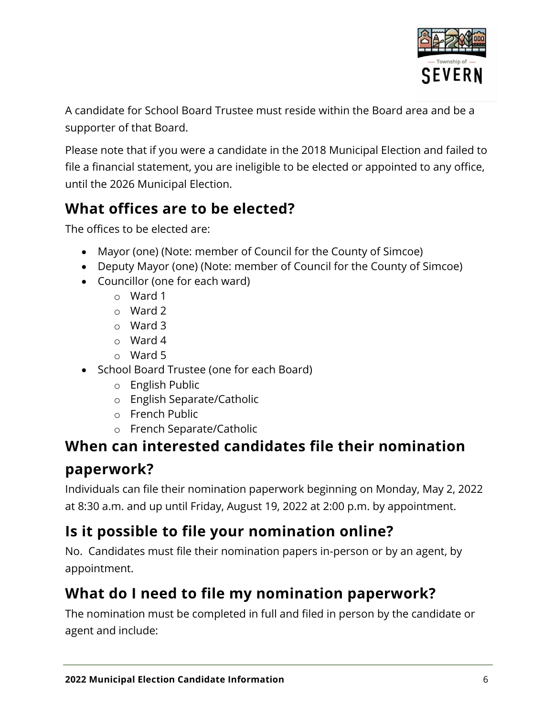

A candidate for School Board Trustee must reside within the Board area and be a supporter of that Board.

Please note that if you were a candidate in the 2018 Municipal Election and failed to file a financial statement, you are ineligible to be elected or appointed to any office, until the 2026 Municipal Election.

#### <span id="page-5-0"></span>**What offices are to be elected?**

The offices to be elected are:

- Mayor (one) (Note: member of Council for the County of Simcoe)
- Deputy Mayor (one) (Note: member of Council for the County of Simcoe)
- Councillor (one for each ward)
	- o Ward 1
	- o Ward 2
	- o Ward 3
	- o Ward 4
	- o Ward 5
- School Board Trustee (one for each Board)
	- o English Public
	- o English Separate/Catholic
	- o French Public
	- o French Separate/Catholic

#### <span id="page-5-1"></span>**When can interested candidates file their nomination paperwork?**

Individuals can file their nomination paperwork beginning on Monday, May 2, 2022 at 8:30 a.m. and up until Friday, August 19, 2022 at 2:00 p.m. by appointment.

#### <span id="page-5-2"></span>**Is it possible to file your nomination online?**

No. Candidates must file their nomination papers in-person or by an agent, by appointment.

#### <span id="page-5-3"></span>**What do I need to file my nomination paperwork?**

The nomination must be completed in full and filed in person by the candidate or agent and include: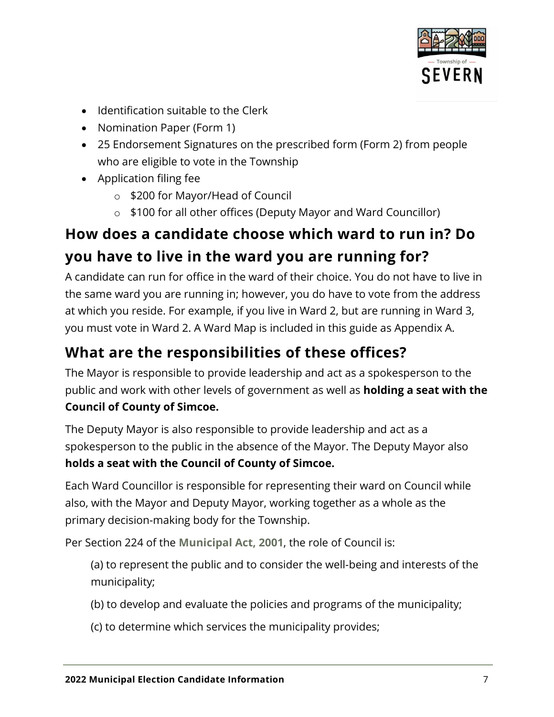

- Identification suitable to the Clerk
- Nomination Paper (Form 1)
- 25 Endorsement Signatures on the prescribed form (Form 2) from people who are eligible to vote in the Township
- Application filing fee
	- o \$200 for Mayor/Head of Council
	- o \$100 for all other offices (Deputy Mayor and Ward Councillor)

#### <span id="page-6-0"></span>**How does a candidate choose which ward to run in? Do you have to live in the ward you are running for?**

A candidate can run for office in the ward of their choice. You do not have to live in the same ward you are running in; however, you do have to vote from the address at which you reside. For example, if you live in Ward 2, but are running in Ward 3, you must vote in Ward 2. A Ward Map is included in this guide as Appendix A.

#### <span id="page-6-1"></span>**What are the responsibilities of these offices?**

The Mayor is responsible to provide leadership and act as a spokesperson to the public and work with other levels of government as well as **holding a seat with the Council of County of Simcoe.**

The Deputy Mayor is also responsible to provide leadership and act as a spokesperson to the public in the absence of the Mayor. The Deputy Mayor also **holds a seat with the Council of County of Simcoe.**

Each Ward Councillor is responsible for representing their ward on Council while also, with the Mayor and Deputy Mayor, working together as a whole as the primary decision-making body for the Township.

Per Section 224 of the **[Municipal Act, 2001](https://www.ontario.ca/laws/statute/01m25)**, the role of Council is:

(a) to represent the public and to consider the well-being and interests of the municipality;

- (b) to develop and evaluate the policies and programs of the municipality;
- (c) to determine which services the municipality provides;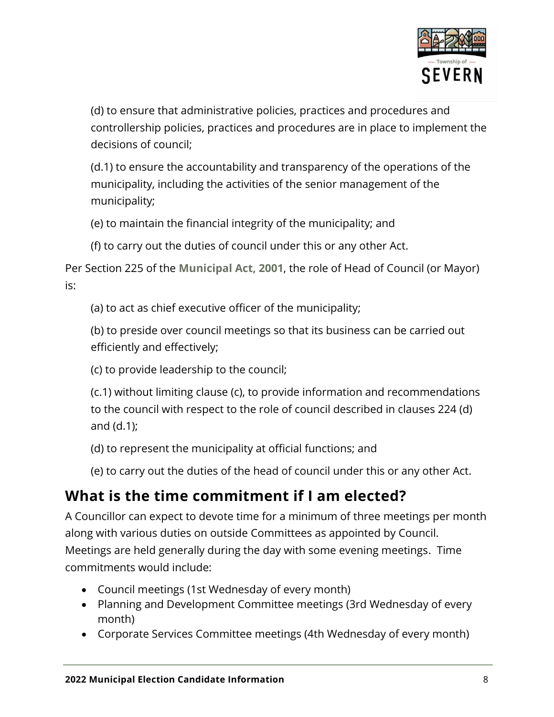

(d) to ensure that administrative policies, practices and procedures and controllership policies, practices and procedures are in place to implement the decisions of council;

(d.1) to ensure the accountability and transparency of the operations of the municipality, including the activities of the senior management of the municipality;

(e) to maintain the financial integrity of the municipality; and

(f) to carry out the duties of council under this or any other Act.

Per Section 225 of the **[Municipal Act,](https://www.ontario.ca/laws/statute/01m25) 2001**, the role of Head of Council (or Mayor) is:

(a) to act as chief executive officer of the municipality;

(b) to preside over council meetings so that its business can be carried out efficiently and effectively;

(c) to provide leadership to the council;

(c.1) without limiting clause (c), to provide information and recommendations to the council with respect to the role of council described in clauses 224 (d) and (d.1);

(d) to represent the municipality at official functions; and

(e) to carry out the duties of the head of council under this or any other Act.

#### <span id="page-7-0"></span>**What is the time commitment if I am elected?**

A Councillor can expect to devote time for a minimum of three meetings per month along with various duties on outside Committees as appointed by Council. Meetings are held generally during the day with some evening meetings. Time commitments would include:

- Council meetings (1st Wednesday of every month)
- Planning and Development Committee meetings (3rd Wednesday of every month)
- Corporate Services Committee meetings (4th Wednesday of every month)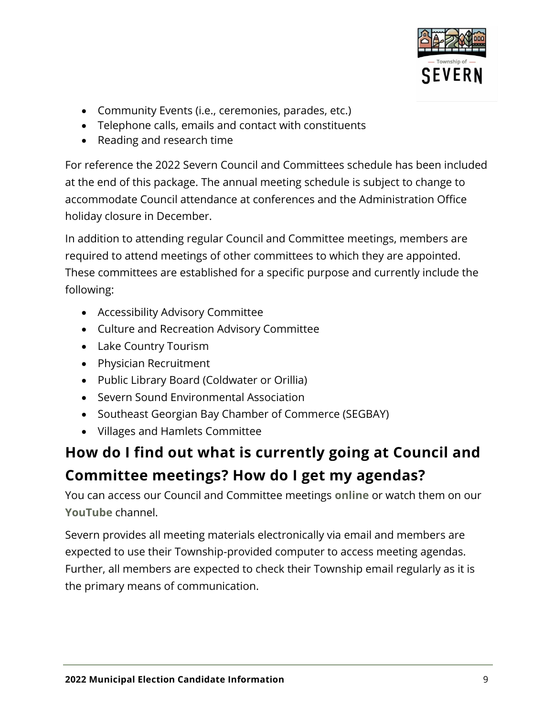

- Community Events (i.e., ceremonies, parades, etc.)
- Telephone calls, emails and contact with constituents
- Reading and research time

For reference the 2022 Severn Council and Committees schedule has been included at the end of this package. The annual meeting schedule is subject to change to accommodate Council attendance at conferences and the Administration Office holiday closure in December.

In addition to attending regular Council and Committee meetings, members are required to attend meetings of other committees to which they are appointed. These committees are established for a specific purpose and currently include the following:

- Accessibility Advisory Committee
- Culture and Recreation Advisory Committee
- Lake Country Tourism
- Physician Recruitment
- Public Library Board (Coldwater or Orillia)
- Severn Sound Environmental Association
- Southeast Georgian Bay Chamber of Commerce (SEGBAY)
- Villages and Hamlets Committee

#### <span id="page-8-0"></span>**How do I find out what is currently going at Council and Committee meetings? How do I get my agendas?**

You can access our Council and Committee meetings **[online](https://severn.civicweb.net/Portal/MeetingTypeList.aspx)** or watch them on our **[YouTube](https://www.youtube.com/channel/UCzhcoASavyb3nVr4jxzx8vA)** channel.

Severn provides all meeting materials electronically via email and members are expected to use their Township-provided computer to access meeting agendas. Further, all members are expected to check their Township email regularly as it is the primary means of communication.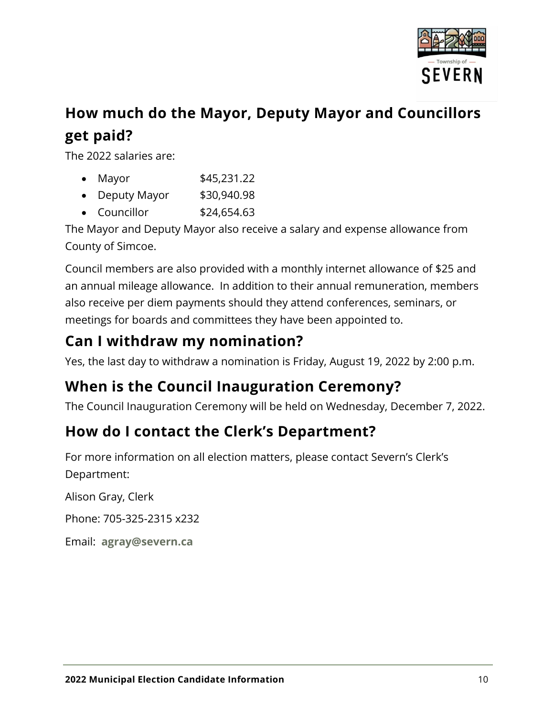

#### <span id="page-9-0"></span>**How much do the Mayor, Deputy Mayor and Councillors get paid?**

The 2022 salaries are:

| Mayor M | \$45,231.22 |
|---------|-------------|
|         |             |

- Deputy Mayor \$30,940.98
- $\bullet$  Councillor  $$24,654.63$

The Mayor and Deputy Mayor also receive a salary and expense allowance from County of Simcoe.

Council members are also provided with a monthly internet allowance of \$25 and an annual mileage allowance. In addition to their annual remuneration, members also receive per diem payments should they attend conferences, seminars, or meetings for boards and committees they have been appointed to.

#### <span id="page-9-1"></span>**Can I withdraw my nomination?**

Yes, the last day to withdraw a nomination is Friday, August 19, 2022 by 2:00 p.m.

#### <span id="page-9-2"></span>**When is the Council Inauguration Ceremony?**

The Council Inauguration Ceremony will be held on Wednesday, December 7, 2022.

#### <span id="page-9-3"></span>**How do I contact the Clerk's Department?**

For more information on all election matters, please contact Severn's Clerk's Department:

Alison Gray, Clerk

Phone: 705-325-2315 x232

Email: **[agray@severn.ca](mailto:agray@severn.ca)**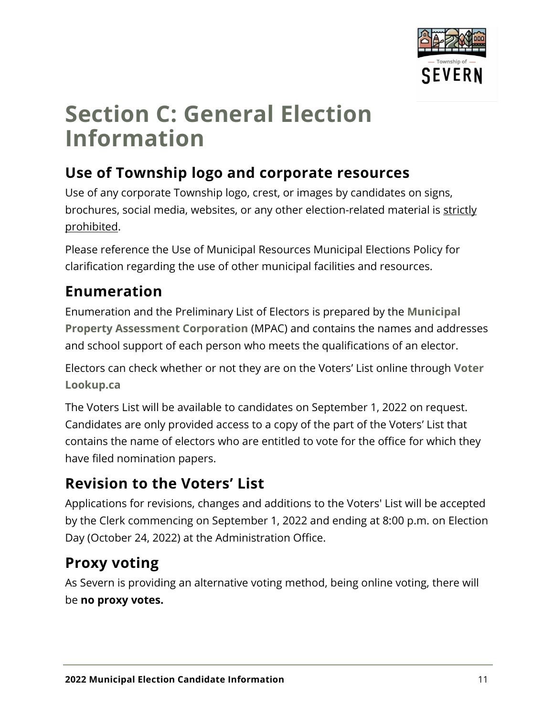

### <span id="page-10-0"></span>**Section C: General Election Information**

#### <span id="page-10-1"></span>**Use of Township logo and corporate resources**

Use of any corporate Township logo, crest, or images by candidates on signs, brochures, social media, websites, or any other election-related material is strictly prohibited.

Please reference the Use of Municipal Resources Municipal Elections Policy for clarification regarding the use of other municipal facilities and resources.

#### <span id="page-10-2"></span>**Enumeration**

Enumeration and the Preliminary List of Electors is prepared by the **[Municipal](https://www.mpac.ca/)  [Property Assessment Corporation](https://www.mpac.ca/)** (MPAC) and contains the names and addresses and school support of each person who meets the qualifications of an elector.

Electors can check whether or not they are on the Voters' List online through **[Voter](https://voterlookup.ca/)  [Lookup.ca](https://voterlookup.ca/)**

The Voters List will be available to candidates on September 1, 2022 on request. Candidates are only provided access to a copy of the part of the Voters' List that contains the name of electors who are entitled to vote for the office for which they have filed nomination papers.

#### <span id="page-10-3"></span>**Revision to the Voters' List**

Applications for revisions, changes and additions to the Voters' List will be accepted by the Clerk commencing on September 1, 2022 and ending at 8:00 p.m. on Election Day (October 24, 2022) at the Administration Office.

#### <span id="page-10-4"></span>**Proxy voting**

As Severn is providing an alternative voting method, being online voting, there will be **no proxy votes.**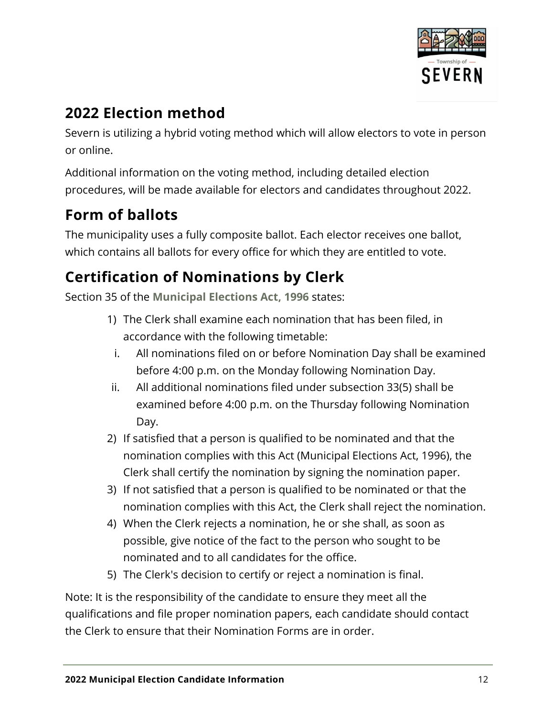

#### <span id="page-11-0"></span>**2022 Election method**

Severn is utilizing a hybrid voting method which will allow electors to vote in person or online.

Additional information on the voting method, including detailed election procedures, will be made available for electors and candidates throughout 2022.

#### <span id="page-11-1"></span>**Form of ballots**

The municipality uses a fully composite ballot. Each elector receives one ballot, which contains all ballots for every office for which they are entitled to vote.

#### <span id="page-11-2"></span>**Certification of Nominations by Clerk**

Section 35 of the **[Municipal Elections Act,](https://www.ontario.ca/laws/statute/96m32) 1996** states:

- 1) The Clerk shall examine each nomination that has been filed, in accordance with the following timetable:
- i. All nominations filed on or before Nomination Day shall be examined before 4:00 p.m. on the Monday following Nomination Day.
- ii. All additional nominations filed under subsection 33(5) shall be examined before 4:00 p.m. on the Thursday following Nomination Day.
- 2) If satisfied that a person is qualified to be nominated and that the nomination complies with this Act (Municipal Elections Act, 1996), the Clerk shall certify the nomination by signing the nomination paper.
- 3) If not satisfied that a person is qualified to be nominated or that the nomination complies with this Act, the Clerk shall reject the nomination.
- 4) When the Clerk rejects a nomination, he or she shall, as soon as possible, give notice of the fact to the person who sought to be nominated and to all candidates for the office.
- 5) The Clerk's decision to certify or reject a nomination is final.

Note: It is the responsibility of the candidate to ensure they meet all the qualifications and file proper nomination papers, each candidate should contact the Clerk to ensure that their Nomination Forms are in order.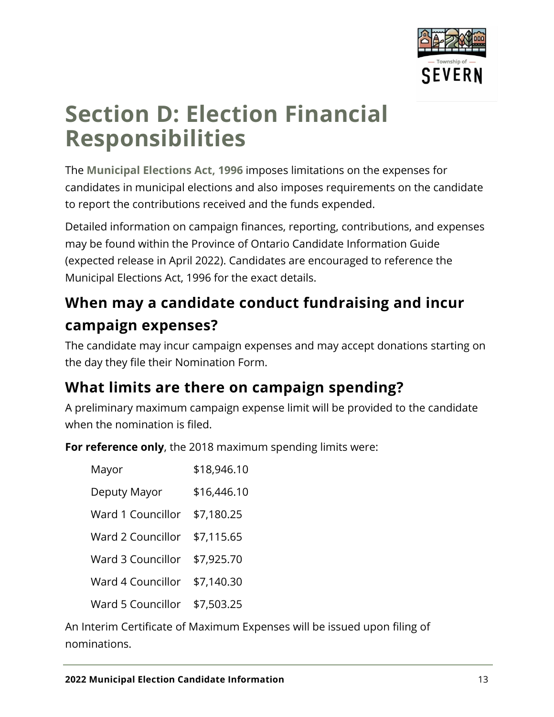

# <span id="page-12-0"></span>**Section D: Election Financial Responsibilities**

The **[Municipal Elections Act,](https://www.ontario.ca/laws/statute/96m32) 1996** imposes limitations on the expenses for candidates in municipal elections and also imposes requirements on the candidate to report the contributions received and the funds expended.

Detailed information on campaign finances, reporting, contributions, and expenses may be found within the Province of Ontario Candidate Information Guide (expected release in April 2022). Candidates are encouraged to reference the Municipal Elections Act, 1996 for the exact details.

#### <span id="page-12-1"></span>**When may a candidate conduct fundraising and incur campaign expenses?**

The candidate may incur campaign expenses and may accept donations starting on the day they file their Nomination Form.

#### <span id="page-12-2"></span>**What limits are there on campaign spending?**

A preliminary maximum campaign expense limit will be provided to the candidate when the nomination is filed.

**For reference only**, the 2018 maximum spending limits were:

| Mayor                        | \$18,946.10 |
|------------------------------|-------------|
| Deputy Mayor                 | \$16,446.10 |
| Ward 1 Councillor            | \$7,180.25  |
| Ward 2 Councillor            | \$7,115.65  |
| Ward 3 Councillor            | \$7,925.70  |
| Ward 4 Councillor            | \$7,140.30  |
| Ward 5 Councillor \$7,503.25 |             |

An Interim Certificate of Maximum Expenses will be issued upon filing of nominations.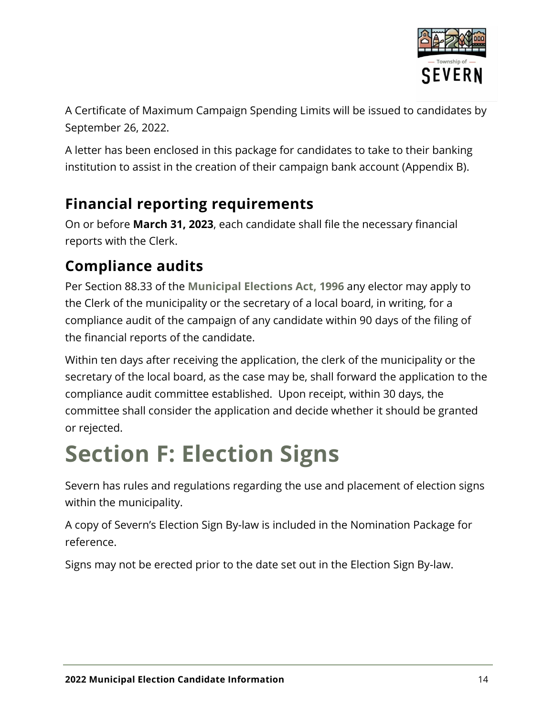

A Certificate of Maximum Campaign Spending Limits will be issued to candidates by September 26, 2022.

A letter has been enclosed in this package for candidates to take to their banking institution to assist in the creation of their campaign bank account (Appendix B).

#### <span id="page-13-0"></span>**Financial reporting requirements**

On or before **March 31, 2023**, each candidate shall file the necessary financial reports with the Clerk.

#### <span id="page-13-1"></span>**Compliance audits**

Per Section 88.33 of the **[Municipal Elections Act,](https://www.ontario.ca/laws/statute/96m32) 1996** any elector may apply to the Clerk of the municipality or the secretary of a local board, in writing, for a compliance audit of the campaign of any candidate within 90 days of the filing of the financial reports of the candidate.

Within ten days after receiving the application, the clerk of the municipality or the secretary of the local board, as the case may be, shall forward the application to the compliance audit committee established. Upon receipt, within 30 days, the committee shall consider the application and decide whether it should be granted or rejected.

# <span id="page-13-2"></span>**Section F: Election Signs**

Severn has rules and regulations regarding the use and placement of election signs within the municipality.

A copy of Severn's Election Sign By-law is included in the Nomination Package for reference.

Signs may not be erected prior to the date set out in the Election Sign By-law.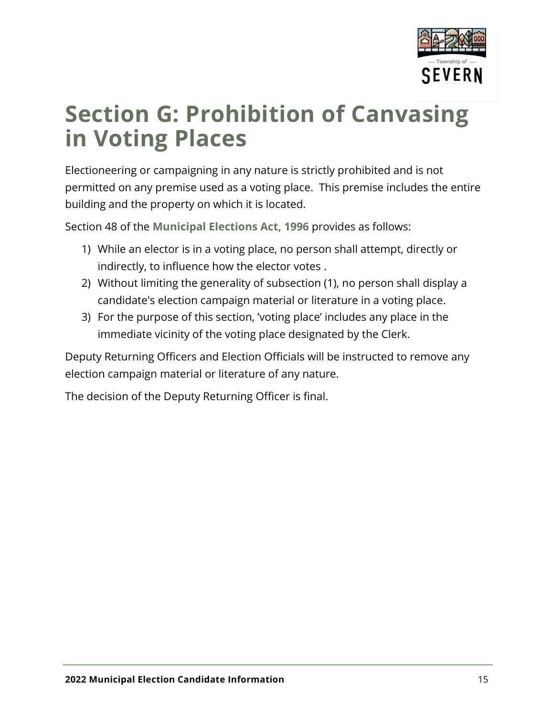

# <span id="page-14-0"></span>**Section G: Prohibition of Canvasing in Voting Places**

Electioneering or campaigning in any nature is strictly prohibited and is not permitted on any premise used as a voting place. This premise includes the entire building and the property on which it is located.

Section 48 of the **[Municipal Elections Act,](https://www.ontario.ca/laws/statute/96m32) 1996** provides as follows:

- 1) While an elector is in a voting place, no person shall attempt, directly or indirectly, to influence how the elector votes .
- 2) Without limiting the generality of subsection (1), no person shall display a candidate's election campaign material or literature in a voting place.
- 3) For the purpose of this section, 'voting place' includes any place in the immediate vicinity of the voting place designated by the Clerk.

Deputy Returning Officers and Election Officials will be instructed to remove any election campaign material or literature of any nature.

The decision of the Deputy Returning Officer is final.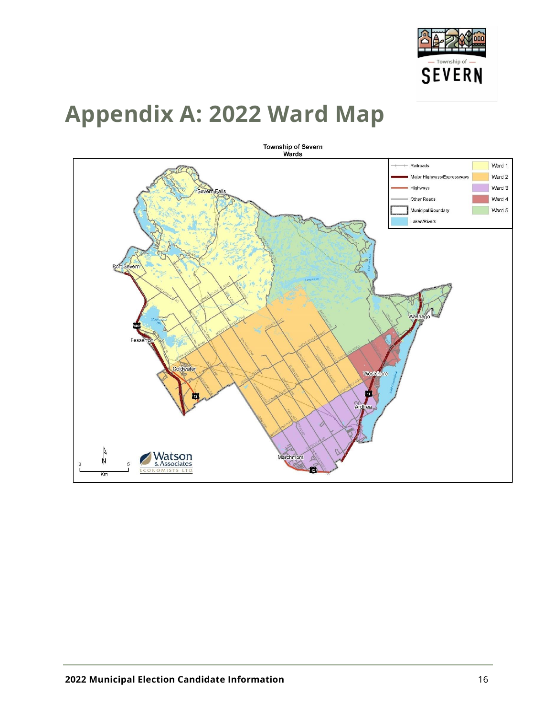

# <span id="page-15-0"></span>**Appendix A: 2022 Ward Map**

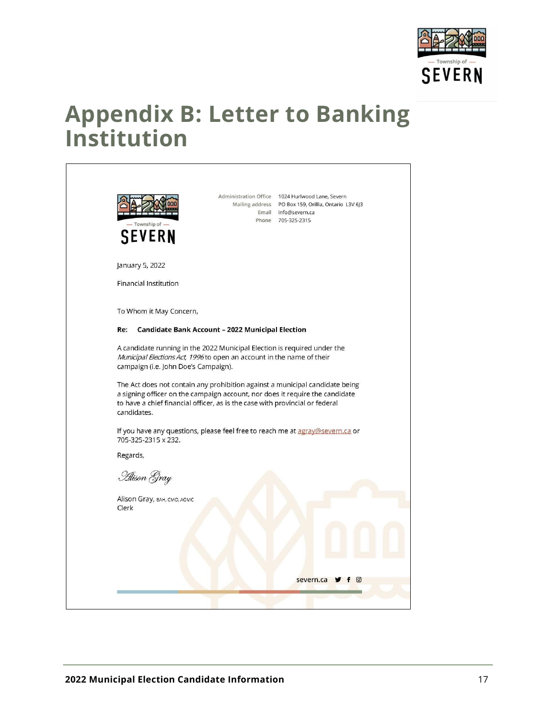

### <span id="page-16-0"></span>**Appendix B: Letter to Banking Institution**